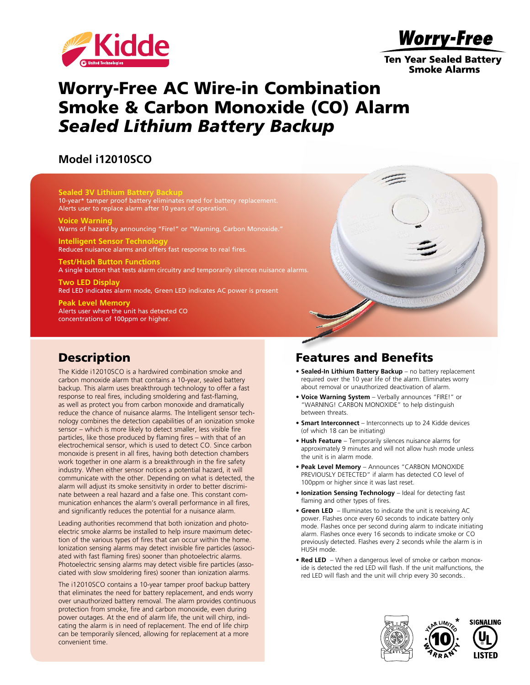

**Worry-Free** 

**Ten Year Sealed Battery Smoke Alarms** 

# Worry-Free AC Wire-in Combination Smoke & Carbon Monoxide (CO) Alarm *Sealed Lithium Battery Backup*

#### **Model i12010SCO**

**Sealed 3V Lithium Battery Backup** 10-year\* tamper proof battery eliminates need for battery replacement. Alerts user to replace alarm after 10 years of operation.

**Voice Warning** Warns of hazard by announcing "Fire!" or "Warning, Carbon Monoxide."

**Intelligent Sensor Technology** Reduces nuisance alarms and offers fast response to real fires.

**Test/Hush Button Functions** A single button that tests alarm circuitry and temporarily silences nuisance alarms.

**Two LED Display** Red LED indicates alarm mode, Green LED indicates AC power is present

**Peak Level Memory** Alerts user when the unit has detected CO concentrations of 100ppm or higher.

### **Description**

The Kidde i12010SCO is a hardwired combination smoke and carbon monoxide alarm that contains a 10-year, sealed battery backup. This alarm uses breakthrough technology to offer a fast response to real fires, including smoldering and fast-flaming, as well as protect you from carbon monoxide and dramatically reduce the chance of nuisance alarms. The Intelligent sensor technology combines the detection capabilities of an ionization smoke sensor – which is more likely to detect smaller, less visible fire particles, like those produced by flaming fires – with that of an electrochemical sensor, which is used to detect CO. Since carbon monoxide is present in all fires, having both detection chambers work together in one alarm is a breakthrough in the fire safety industry. When either sensor notices a potential hazard, it will communicate with the other. Depending on what is detected, the alarm will adjust its smoke sensitivity in order to better discriminate between a real hazard and a false one. This constant communication enhances the alarm's overall performance in all fires, and significantly reduces the potential for a nuisance alarm.

Leading authorities recommend that both ionization and photoelectric smoke alarms be installed to help insure maximum detection of the various types of fires that can occur within the home. Ionization sensing alarms may detect invisible fire particles (associated with fast flaming fires) sooner than photoelectric alarms. Photoelectric sensing alarms may detect visible fire particles (associated with slow smoldering fires) sooner than ionization alarms.

The i12010SCO contains a 10-year tamper proof backup battery that eliminates the need for battery replacement, and ends worry over unauthorized battery removal. The alarm provides continuous protection from smoke, fire and carbon monoxide, even during power outages. At the end of alarm life, the unit will chirp, indicating the alarm is in need of replacement. The end of life chirp can be temporarily silenced, allowing for replacement at a more convenient time.

### Features and Benefits

- **Sealed-In Lithium Battery Backup** no battery replacement required over the 10 year life of the alarm. Eliminates worry about removal or unauthorized deactivation of alarm.
- **Voice Warning System** Verbally announces "FIRE!" or "WARNING! CARBON MONOXIDE" to help distinguish between threats.
- **Smart Interconnect** Interconnects up to 24 Kidde devices (of which 18 can be initiating)
- **Hush Feature** Temporarily silences nuisance alarms for approximately 9 minutes and will not allow hush mode unless the unit is in alarm mode.
- **Peak Level Memory** Announces "CARBON MONOXIDE PREVIOUSLY DETECTED" if alarm has detected CO level of 100ppm or higher since it was last reset.
- **Ionization Sensing Technology** Ideal for detecting fast flaming and other types of fires.
- **Green LED** Illuminates to indicate the unit is receiving AC power. Flashes once every 60 seconds to indicate battery only mode. Flashes once per second during alarm to indicate initiating alarm. Flashes once every 16 seconds to indicate smoke or CO previously detected. Flashes every 2 seconds while the alarm is in HUSH mode.
- **Red LED**  When a dangerous level of smoke or carbon monoxide is detected the red LED will flash. If the unit malfunctions, the red LED will flash and the unit will chrip every 30 seconds..



10

**\***